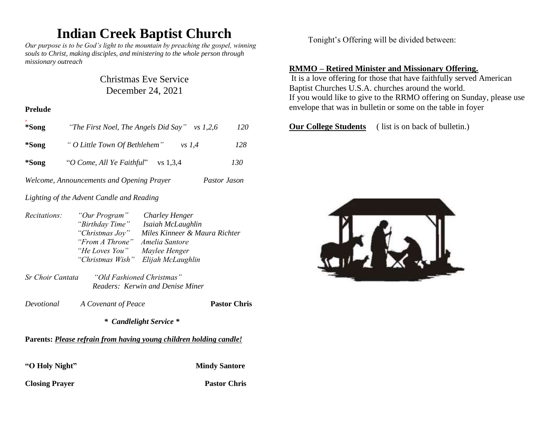# **Indian Creek Baptist Church**

*Our purpose is to be God's light to the mountain by preaching the gospel, winning souls to Christ, making disciples, and ministering to the whole person through missionary outreach*

## Christmas Eve Service December 24, 2021

#### **Prelude**

| *Song                                     | "The First Noel, The Angels Did Say"      | 120<br>vs 1,2,6 |
|-------------------------------------------|-------------------------------------------|-----------------|
| *Song                                     | " O Little Town Of Bethlehem"<br>$vs$ 1.4 | 128             |
| *Song                                     | "O Come, All Ye Faithful"<br>$vs$ 1,3,4   | 130             |
| Welcome, Announcements and Opening Prayer | Pastor Jason                              |                 |

*Lighting of the Advent Candle and Reading*

| <i>Recitations:</i> | "Our Program"    | Charley Henger                |
|---------------------|------------------|-------------------------------|
|                     | "Birthday Time"  | Isaiah McLaughlin             |
|                     | "Christmas Joy"  | Miles Kinneer & Maura Richter |
|                     | "From A Throne"  | Amelia Santore                |
|                     | "He Loves You"   | Maylee Henger                 |
|                     | "Christmas Wish" | Elijah McLaughlin             |

*Sr Choir Cantata "Old Fashioned Christmas" Readers: Kerwin and Denise Miner*

*Devotional A Covenant of Peace* **Pastor Chris**

#### *\* Candlelight Service \**

## **Parents:** *Please refrain from having young children holding candle!*

**"O Holy Night" Mindy Santore** 

**Closing Prayer Pastor Chris** 

Tonight's Offering will be divided between:

## **RMMO – Retired Minister and Missionary Offering.**

It is a love offering for those that have faithfully served American Baptist Churches U.S.A. churches around the world. If you would like to give to the RRMO offering on Sunday, please use envelope that was in bulletin or some on the table in foyer

**Our College Students** ( list is on back of bulletin.)